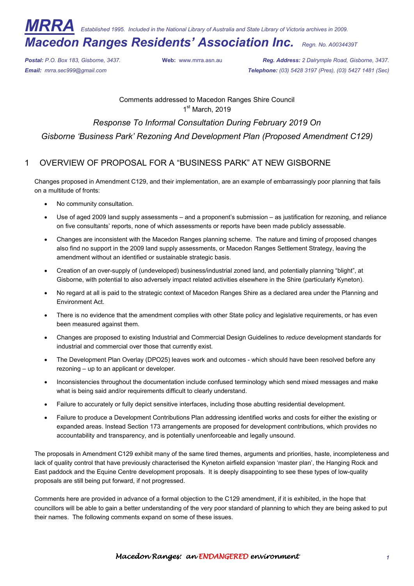*MRRA Established 1995. Included in the National Library of Australia and State Library of Victoria archives in 2009.* 

# *Macedon Ranges Residents' Association Inc. Regn. No. A0034439T*

*Postal: P.O. Box 183, Gisborne, 3437.* **Web:** www.mrra.asn.au *Reg. Address: 2 Dalrymple Road, Gisborne, 3437. Email: mrra.sec999@gmail.com Telephone: (03) 5428 3197 (Pres), (03) 5427 1481 (Sec)*

> Comments addressed to Macedon Ranges Shire Council 1<sup>st</sup> March, 2019

# *Response To Informal Consultation During February 2019 On Gisborne 'Business Park' Rezoning And Development Plan (Proposed Amendment C129)*

1 OVERVIEW OF PROPOSAL FOR A "BUSINESS PARK" AT NEW GISBORNE

Changes proposed in Amendment C129, and their implementation, are an example of embarrassingly poor planning that fails on a multitude of fronts:

- No community consultation.
- Use of aged 2009 land supply assessments and a proponent's submission as justification for rezoning, and reliance on five consultants' reports, none of which assessments or reports have been made publicly assessable.
- Changes are inconsistent with the Macedon Ranges planning scheme. The nature and timing of proposed changes also find no support in the 2009 land supply assessments, or Macedon Ranges Settlement Strategy, leaving the amendment without an identified or sustainable strategic basis.
- Creation of an over-supply of (undeveloped) business/industrial zoned land, and potentially planning "blight", at Gisborne, with potential to also adversely impact related activities elsewhere in the Shire (particularly Kyneton).
- No regard at all is paid to the strategic context of Macedon Ranges Shire as a declared area under the Planning and Environment Act.
- There is no evidence that the amendment complies with other State policy and legislative requirements, or has even been measured against them.
- Changes are proposed to existing Industrial and Commercial Design Guidelines to *reduce* development standards for industrial and commercial over those that currently exist.
- The Development Plan Overlay (DPO25) leaves work and outcomes which should have been resolved before any rezoning – up to an applicant or developer.
- Inconsistencies throughout the documentation include confused terminology which send mixed messages and make what is being said and/or requirements difficult to clearly understand.
- Failure to accurately or fully depict sensitive interfaces, including those abutting residential development.
- Failure to produce a Development Contributions Plan addressing identified works and costs for either the existing or expanded areas. Instead Section 173 arrangements are proposed for development contributions, which provides no accountability and transparency, and is potentially unenforceable and legally unsound.

The proposals in Amendment C129 exhibit many of the same tired themes, arguments and priorities, haste, incompleteness and lack of quality control that have previously characterised the Kyneton airfield expansion 'master plan', the Hanging Rock and East paddock and the Equine Centre development proposals. It is deeply disappointing to see these types of low-quality proposals are still being put forward, if not progressed.

Comments here are provided in advance of a formal objection to the C129 amendment, if it is exhibited, in the hope that councillors will be able to gain a better understanding of the very poor standard of planning to which they are being asked to put their names. The following comments expand on some of these issues.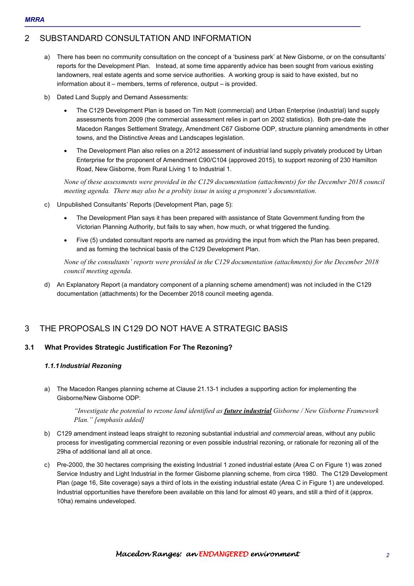# 2 SUBSTANDARD CONSULTATION AND INFORMATION

- a) There has been no community consultation on the concept of a 'business park' at New Gisborne, or on the consultants' reports for the Development Plan. Instead, at some time apparently advice has been sought from various existing landowners, real estate agents and some service authorities. A working group is said to have existed, but no information about it – members, terms of reference, output – is provided.
- b) Dated Land Supply and Demand Assessments:
	- The C129 Development Plan is based on Tim Nott (commercial) and Urban Enterprise (industrial) land supply assessments from 2009 (the commercial assessment relies in part on 2002 statistics). Both pre-date the Macedon Ranges Settlement Strategy, Amendment C67 Gisborne ODP, structure planning amendments in other towns, and the Distinctive Areas and Landscapes legislation.
	- The Development Plan also relies on a 2012 assessment of industrial land supply privately produced by Urban Enterprise for the proponent of Amendment C90/C104 (approved 2015), to support rezoning of 230 Hamilton Road, New Gisborne, from Rural Living 1 to Industrial 1.

*None of these assessments were provided in the C129 documentation (attachments) for the December 2018 council meeting agenda. There may also be a probity issue in using a proponent's documentation.* 

- c) Unpublished Consultants' Reports (Development Plan, page 5):
	- The Development Plan says it has been prepared with assistance of State Government funding from the Victorian Planning Authority, but fails to say when, how much, or what triggered the funding.
	- Five (5) undated consultant reports are named as providing the input from which the Plan has been prepared, and as forming the technical basis of the C129 Development Plan.

*None of the consultants' reports were provided in the C129 documentation (attachments) for the December 2018 council meeting agenda.* 

d) An Explanatory Report (a mandatory component of a planning scheme amendment) was not included in the C129 documentation (attachments) for the December 2018 council meeting agenda.

# 3 THE PROPOSALS IN C129 DO NOT HAVE A STRATEGIC BASIS

## **3.1 What Provides Strategic Justification For The Rezoning?**

## *1.1.1 Industrial Rezoning*

a) The Macedon Ranges planning scheme at Clause 21.13-1 includes a supporting action for implementing the Gisborne/New Gisborne ODP:

*"Investigate the potential to rezone land identified as future industrial Gisborne / New Gisborne Framework Plan." [emphasis added]* 

- b) C129 amendment instead leaps straight to rezoning substantial industrial *and commercial* areas, without any public process for investigating commercial rezoning or even possible industrial rezoning, or rationale for rezoning all of the 29ha of additional land all at once.
- c) Pre-2000, the 30 hectares comprising the existing Industrial 1 zoned industrial estate (Area C on Figure 1) was zoned Service Industry and Light Industrial in the former Gisborne planning scheme, from circa 1980. The C129 Development Plan (page 16, Site coverage) says a third of lots in the existing industrial estate (Area C in Figure 1) are undeveloped. Industrial opportunities have therefore been available on this land for almost 40 years, and still a third of it (approx. 10ha) remains undeveloped.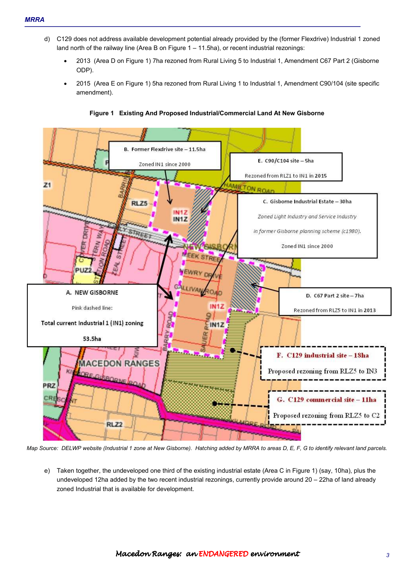- d) C129 does not address available development potential already provided by the (former Flexdrive) Industrial 1 zoned land north of the railway line (Area B on Figure 1 – 11.5ha), or recent industrial rezonings:
	- 2013 (Area D on Figure 1) 7ha rezoned from Rural Living 5 to Industrial 1, Amendment C67 Part 2 (Gisborne ODP).
	- 2015 (Area E on Figure 1) 5ha rezoned from Rural Living 1 to Industrial 1, Amendment C90/104 (site specific amendment).



**Figure 1 Existing And Proposed Industrial/Commercial Land At New Gisborne** 

*Map Source: DELWP website (Industrial 1 zone at New Gisborne). Hatching added by MRRA to areas D, E, F, G to identify relevant land parcels.* 

e) Taken together, the undeveloped one third of the existing industrial estate (Area C in Figure 1) (say, 10ha), plus the undeveloped 12ha added by the two recent industrial rezonings, currently provide around 20 – 22ha of land already zoned Industrial that is available for development.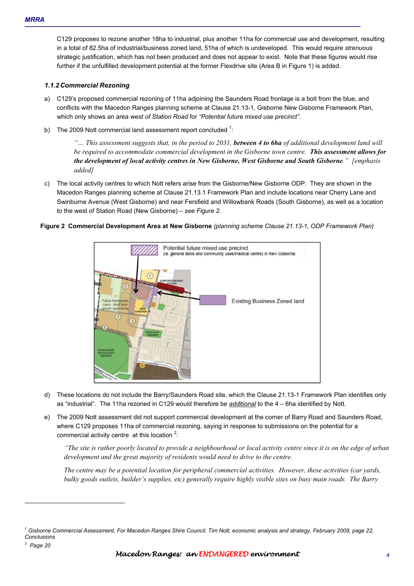C129 proposes to rezone another 18ha to industrial, plus another 11ha for commercial use and development, resulting in a total of 82.5ha of industrial/business zoned land, 51ha of which is undeveloped. This would require *strenuous* strategic justification, which has not been produced and does not appear to exist. Note that these figures would rise further if the unfulfilled development potential at the former Flexdrive site (Area B in Figure 1) is added.

#### *1.1.2 Commercial Rezoning*

- a) C129's proposed commercial rezoning of 11ha adjoining the Saunders Road frontage is a bolt from the blue, and conflicts with the Macedon Ranges planning scheme at Clause 21.13-1, Gisborne New Gisborne Framework Plan, which only shows an area *west of Station Road* for *"Potential future mixed use precinct"*.
- b) The 2009 Nott commercial land assessment report concluded  $1$ :

*"… This assessment suggests that, in the period to 2031, between 4 to 6ha of additional development land will be required to accommodate commercial development in the Gisborne town centre. This assessment allows for the development of local activity centres in New Gisborne, West Gisborne and South Gisborne." [emphasis added]* 

c) The local activity centres to which Nott refers arise from the Gisborne/New Gisborne ODP. They are shown in the Macedon Ranges planning scheme at Clause 21.13.1 Framework Plan and include locations near Cherry Lane and Swinburne Avenue (West Gisborne) and near Fersfield and Willowbank Roads (South Gisborne), as well as a location to the west of Station Road (New Gisborne) – *see Figure 2.* 





- d) These locations do not include the Barry/Saunders Road site, which the Clause 21.13-1 Framework Plan identifies only as "industrial". The 11ha rezoned in C129 would therefore be *additional* to the 4 – 6ha identified by Nott.
- e) The 2009 Nott assessment did not support commercial development at the corner of Barry Road and Saunders Road, where C129 proposes 11ha of commercial rezoning, saying in response to submissions on the potential for a commercial activity centre  $\alpha$  at this location  $2$ :

*"The site is rather poorly located to provide a neighbourhood or local activity centre since it is on the edge of urban development and the great majority of residents would need to drive to the centre.* 

*The centre may be a potential location for peripheral commercial activities. However, these activities (car yards, bulky goods outlets, builder's supplies, etc) generally require highly visible sites on busy main roads. The Barry* 

*2 Page 20* 

 $\overline{a}$ 

*<sup>1</sup> Gisborne Commercial Assessment, For Macedon Ranges Shire Council, Tim Nott, economic analysis and strategy, February 2009, page 22, Conclusions*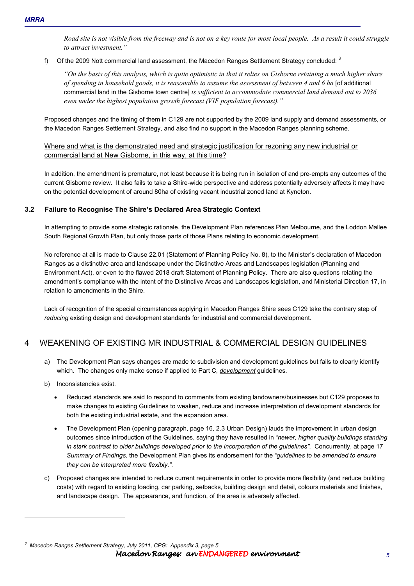*Road site is not visible from the freeway and is not on a key route for most local people. As a result it could struggle to attract investment."* 

f) Of the 2009 Nott commercial land assessment, the Macedon Ranges Settlement Strategy concluded:  $^3$ 

*"On the basis of this analysis, which is quite optimistic in that it relies on Gisborne retaining a much higher share of spending in household goods, it is reasonable to assume the assessment of between 4 and 6 ha* [of additional commercial land in the Gisborne town centre] *is sufficient to accommodate commercial land demand out to 2036 even under the highest population growth forecast (VIF population forecast)."* 

Proposed changes and the timing of them in C129 are not supported by the 2009 land supply and demand assessments, or the Macedon Ranges Settlement Strategy, and also find no support in the Macedon Ranges planning scheme.

Where and what is the demonstrated need and strategic justification for rezoning any new industrial or commercial land at New Gisborne, in this way, at this time?

In addition, the amendment is premature, not least because it is being run in isolation of and pre-empts any outcomes of the current Gisborne review. It also fails to take a Shire-wide perspective and address potentially adversely affects it may have on the potential development of around 80ha of existing vacant industrial zoned land at Kyneton.

#### **3.2 Failure to Recognise The Shire's Declared Area Strategic Context**

In attempting to provide some strategic rationale, the Development Plan references Plan Melbourne, and the Loddon Mallee South Regional Growth Plan, but only those parts of those Plans relating to economic development.

No reference at all is made to Clause 22.01 (Statement of Planning Policy No. 8), to the Minister's declaration of Macedon Ranges as a distinctive area and landscape under the Distinctive Areas and Landscapes legislation (Planning and Environment Act), or even to the flawed 2018 draft Statement of Planning Policy. There are also questions relating the amendment's compliance with the intent of the Distinctive Areas and Landscapes legislation, and Ministerial Direction 17, in relation to amendments in the Shire.

Lack of recognition of the special circumstances applying in Macedon Ranges Shire sees C129 take the contrary step of *reducing* existing design and development standards for industrial and commercial development.

# 4 WEAKENING OF EXISTING MR INDUSTRIAL & COMMERCIAL DESIGN GUIDELINES

- a) The Development Plan says changes are made to subdivision and development guidelines but fails to clearly identify which. The changes only make sense if applied to Part C, *development* guidelines.
- b) Inconsistencies exist.

 $\overline{a}$ 

- Reduced standards are said to respond to comments from existing landowners/businesses but C129 proposes to make changes to existing Guidelines to weaken, reduce and increase interpretation of development standards for both the existing industrial estate, and the expansion area.
- The Development Plan (opening paragraph, page 16, 2.3 Urban Design) lauds the improvement in urban design outcomes since introduction of the Guidelines, saying they have resulted in *"newer, higher quality buildings standing in stark contrast to older buildings developed prior to the incorporation of the guidelines".* Concurrently, at page 17 *Summary of Findings,* the Development Plan gives its endorsement for the *"guidelines to be amended to ensure they can be interpreted more flexibly."*.
- c) Proposed changes are intended to reduce current requirements in order to provide more flexibility (and reduce building costs) with regard to existing loading, car parking, setbacks, building design and detail, colours materials and finishes, and landscape design. The appearance, and function, of the area is adversely affected.

Macedon Ranges: an ENDANGEREDenvironment environment environment *5 3 Macedon Ranges Settlement Strategy, July 2011, CPG: Appendix 3, page 5*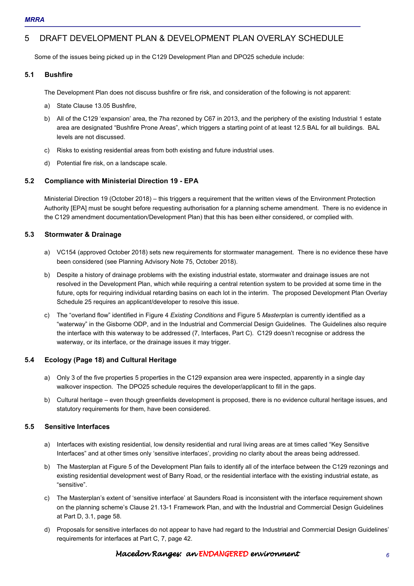# 5 DRAFT DEVELOPMENT PLAN & DEVELOPMENT PLAN OVERLAY SCHEDULE

Some of the issues being picked up in the C129 Development Plan and DPO25 schedule include:

## **5.1 Bushfire**

The Development Plan does not discuss bushfire or fire risk, and consideration of the following is not apparent:

- a) State Clause 13.05 Bushfire,
- b) All of the C129 'expansion' area, the 7ha rezoned by C67 in 2013, and the periphery of the existing Industrial 1 estate area are designated "Bushfire Prone Areas", which triggers a starting point of at least 12.5 BAL for all buildings. BAL levels are not discussed.
- c) Risks to existing residential areas from both existing and future industrial uses.
- d) Potential fire risk, on a landscape scale.

## **5.2 Compliance with Ministerial Direction 19 - EPA**

Ministerial Direction 19 (October 2018) – this triggers a requirement that the written views of the Environment Protection Authority [EPA] must be sought before requesting authorisation for a planning scheme amendment. There is no evidence in the C129 amendment documentation/Development Plan) that this has been either considered, or complied with.

## **5.3 Stormwater & Drainage**

- a) VC154 (approved October 2018) sets new requirements for stormwater management. There is no evidence these have been considered (see Planning Advisory Note 75, October 2018).
- b) Despite a history of drainage problems with the existing industrial estate, stormwater and drainage issues are not resolved in the Development Plan, which while requiring a central retention system to be provided at some time in the future, opts for requiring individual retarding basins on each lot in the interim. The proposed Development Plan Overlay Schedule 25 requires an applicant/developer to resolve this issue.
- c) The "overland flow" identified in Figure 4 *Existing Conditions* and Figure 5 *Masterplan* is currently identified as a "waterway" in the Gisborne ODP, and in the Industrial and Commercial Design Guidelines. The Guidelines also require the interface with this waterway to be addressed (7, Interfaces, Part C). C129 doesn't recognise or address the waterway, or its interface, or the drainage issues it may trigger.

## **5.4 Ecology (Page 18) and Cultural Heritage**

- a) Only 3 of the five properties 5 properties in the C129 expansion area were inspected, apparently in a single day walkover inspection. The DPO25 schedule requires the developer/applicant to fill in the gaps.
- b) Cultural heritage even though greenfields development is proposed, there is no evidence cultural heritage issues, and statutory requirements for them, have been considered.

## **5.5 Sensitive Interfaces**

- a) Interfaces with existing residential, low density residential and rural living areas are at times called "Key Sensitive Interfaces" and at other times only 'sensitive interfaces', providing no clarity about the areas being addressed.
- b) The Masterplan at Figure 5 of the Development Plan fails to identify all of the interface between the C129 rezonings and existing residential development west of Barry Road, or the residential interface with the existing industrial estate, as "sensitive".
- c) The Masterplan's extent of 'sensitive interface' at Saunders Road is inconsistent with the interface requirement shown on the planning scheme's Clause 21.13-1 Framework Plan, and with the Industrial and Commercial Design Guidelines at Part D, 3.1, page 58.
- d) Proposals for sensitive interfaces do not appear to have had regard to the Industrial and Commercial Design Guidelines' requirements for interfaces at Part C, 7, page 42.

## Macedon Ranges: an ENDANGEREDenvironment environment environment *6*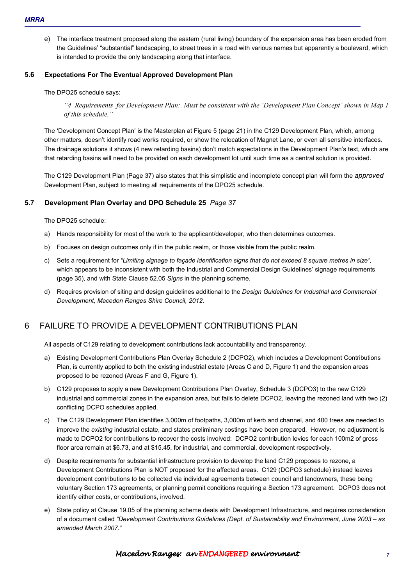e) The interface treatment proposed along the eastern (rural living) boundary of the expansion area has been eroded from the Guidelines' "substantial" landscaping, to street trees in a road with various names but apparently a boulevard, which is intended to provide the only landscaping along that interface.

#### **5.6 Expectations For The Eventual Approved Development Plan**

The DPO25 schedule says:

*"4 Requirements for Development Plan: Must be consistent with the 'Development Plan Concept' shown in Map 1 of this schedule."* 

The 'Development Concept Plan' is the Masterplan at Figure 5 (page 21) in the C129 Development Plan, which, among other matters, doesn't identify road works required, or show the relocation of Magnet Lane, or even all sensitive interfaces. The drainage solutions it shows (4 new retarding basins) don't match expectations in the Development Plan's text, which are that retarding basins will need to be provided on each development lot until such time as a central solution is provided.

The C129 Development Plan (Page 37) also states that this simplistic and incomplete concept plan will form the *approved*  Development Plan, subject to meeting all requirements of the DPO25 schedule.

#### **5.7 Development Plan Overlay and DPO Schedule 25** *Page 37*

The DPO25 schedule:

- a) Hands responsibility for most of the work to the applicant/developer, who then determines outcomes.
- b) Focuses on design outcomes only if in the public realm, or those visible from the public realm.
- c) Sets a requirement for *"Limiting signage to façade identification signs that do not exceed 8 square metres in size",*  which appears to be inconsistent with both the Industrial and Commercial Design Guidelines' signage requirements (page 35), and with State Clause 52.05 *Signs* in the planning scheme.
- d) Requires provision of siting and design guidelines additional to the *Design Guidelines for Industrial and Commercial Development, Macedon Ranges Shire Council, 2012.*

# 6 FAILURE TO PROVIDE A DEVELOPMENT CONTRIBUTIONS PLAN

All aspects of C129 relating to development contributions lack accountability and transparency.

- a) Existing Development Contributions Plan Overlay Schedule 2 (DCPO2), which includes a Development Contributions Plan, is currently applied to both the existing industrial estate (Areas C and D, Figure 1) and the expansion areas proposed to be rezoned (Areas F and G, Figure 1).
- b) C129 proposes to apply a new Development Contributions Plan Overlay, Schedule 3 (DCPO3) to the new C129 industrial and commercial zones in the expansion area, but fails to delete DCPO2, leaving the rezoned land with two (2) conflicting DCPO schedules applied.
- c) The C129 Development Plan identifies 3,000m of footpaths, 3,000m of kerb and channel, and 400 trees are needed to improve the *existing* industrial estate, and states preliminary costings have been prepared. However, no adjustment is made to DCPO2 for contributions to recover the costs involved: DCPO2 contribution levies for each 100m2 of gross floor area remain at \$6.73, and at \$15.45, for industrial, and commercial, development respectively.
- d) Despite requirements for substantial infrastructure provision to develop the land C129 proposes to rezone, a Development Contributions Plan is NOT proposed for the affected areas. C129 (DCPO3 schedule) instead leaves development contributions to be collected via individual agreements between council and landowners, these being voluntary Section 173 agreements, or planning permit conditions requiring a Section 173 agreement. DCPO3 does not identify either costs, or contributions, involved.
- e) State policy at Clause 19.05 of the planning scheme deals with Development Infrastructure, and requires consideration of a document called *"Development Contributions Guidelines (Dept. of Sustainability and Environment, June 2003 – as amended March 2007."*